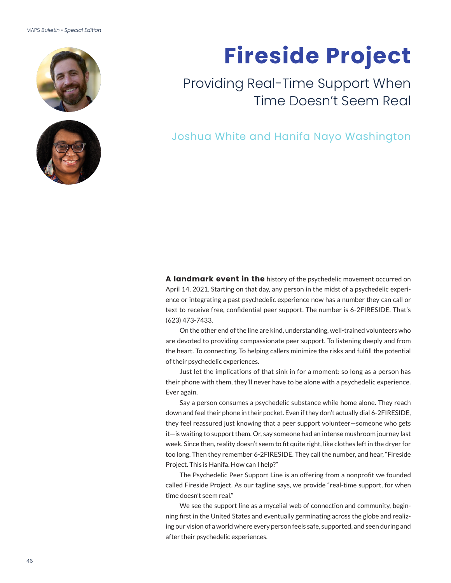## MAPS *Bulletin* • *Special Edition*





## **Fireside Project**

## Providing Real-Time Support When Time Doesn't Seem Real

Joshua White and Hanifa Nayo Washington

**A landmark event in the** history of the psychedelic movement occurred on April 14, 2021. Starting on that day, any person in the midst of a psychedelic experience or integrating a past psychedelic experience now has a number they can call or text to receive free, confidential peer support. The number is 6-2FIRESIDE. That's (623) 473-7433.

On the other end of the line are kind, understanding, well-trained volunteers who are devoted to providing compassionate peer support. To listening deeply and from the heart. To connecting. To helping callers minimize the risks and fulfill the potential of their psychedelic experiences.

Just let the implications of that sink in for a moment: so long as a person has their phone with them, they'll never have to be alone with a psychedelic experience. Ever again.

Say a person consumes a psychedelic substance while home alone. They reach down and feel their phone in their pocket. Even if they don't actually dial 6-2FIRESIDE, they feel reassured just knowing that a peer support volunteer—someone who gets it—is waiting to support them. Or, say someone had an intense mushroom journey last week. Since then, reality doesn't seem to fit quite right, like clothes left in the dryer for too long. Then they remember 6-2FIRESIDE. They call the number, and hear, "Fireside Project. This is Hanifa. How can I help?"

The Psychedelic Peer Support Line is an offering from a nonprofit we founded called Fireside Project. As our tagline says, we provide "real-time support, for when time doesn't seem real."

We see the support line as a mycelial web of connection and community, beginning first in the United States and eventually germinating across the globe and realizing our vision of a world where every person feels safe, supported, and seen during and after their psychedelic experiences.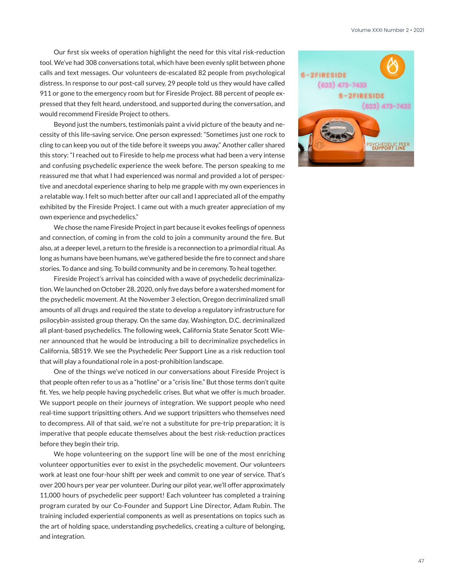Our first six weeks of operation highlight the need for this vital risk-reduction tool. We've had 308 conversations total, which have been evenly split between phone calls and text messages. Our volunteers de-escalated 82 people from psychological distress. In response to our post-call survey, 29 people told us they would have called 911 or gone to the emergency room but for Fireside Project. 88 percent of people expressed that they felt heard, understood, and supported during the conversation, and would recommend Fireside Project to others.

Beyond just the numbers, testimonials paint a vivid picture of the beauty and necessity of this life-saving service. One person expressed: "Sometimes just one rock to cling to can keep you out of the tide before it sweeps you away." Another caller shared this story: "I reached out to Fireside to help me process what had been a very intense and confusing psychedelic experience the week before. The person speaking to me reassured me that what I had experienced was normal and provided a lot of perspective and anecdotal experience sharing to help me grapple with my own experiences in a relatable way. I felt so much better after our call and I appreciated all of the empathy exhibited by the Fireside Project. I came out with a much greater appreciation of my own experience and psychedelics."

We chose the name Fireside Project in part because it evokes feelings of openness and connection, of coming in from the cold to join a community around the fire. But also, at a deeper level, a return to the fireside is a reconnection to a primordial ritual. As long as humans have been humans, we've gathered beside the fire to connect and share stories. To dance and sing. To build community and be in ceremony. To heal together.

Fireside Project's arrival has coincided with a wave of psychedelic decriminalization. We launched on October 28, 2020, only five days before a watershed moment for the psychedelic movement. At the November 3 election, Oregon decriminalized small amounts of all drugs and required the state to develop a regulatory infrastructure for psilocybin-assisted group therapy. On the same day, Washington, D.C. decriminalized all plant-based psychedelics. The following week, California State Senator Scott Wiener announced that he would be introducing a bill to decriminalize psychedelics in California, SB519. We see the Psychedelic Peer Support Line as a risk reduction tool that will play a foundational role in a post-prohibition landscape.

One of the things we've noticed in our conversations about Fireside Project is that people often refer to us as a "hotline" or a "crisis line." But those terms don't quite fit. Yes, we help people having psychedelic crises. But what we offer is much broader. We support people on their journeys of integration. We support people who need real-time support tripsitting others. And we support tripsitters who themselves need to decompress. All of that said, we're not a substitute for pre-trip preparation; it is imperative that people educate themselves about the best risk-reduction practices before they begin their trip.

We hope volunteering on the support line will be one of the most enriching volunteer opportunities ever to exist in the psychedelic movement. Our volunteers work at least one four-hour shift per week and commit to one year of service. That's over 200 hours per year per volunteer. During our pilot year, we'll offer approximately 11,000 hours of psychedelic peer support! Each volunteer has completed a training program curated by our Co-Founder and Support Line Director, Adam Rubin. The training included experiential components as well as presentations on topics such as the art of holding space, understanding psychedelics, creating a culture of belonging, and integration.